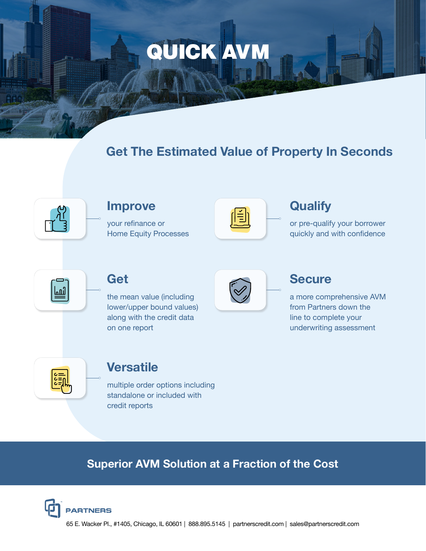# QUICK AVM

## **Get The Estimated Value of Property In Seconds**



#### **Improve**

your refinance or Home Equity Processes



## **Qualify**

or pre-qualify your borrower quickly and with confidence



#### **Get**

the mean value (including lower/upper bound values) along with the credit data on one report



### **Secure**

a more comprehensive AVM from Partners down the line to complete your underwriting assessment



#### **Versatile**

multiple order options including standalone or included with credit reports

## **Superior AVM Solution at a Fraction of the Cost**



65 E. Wacker Pl., #1405, Chicago, IL 60601 | 888.895.5145 | partnerscredit.com | sales@partnerscredit.com